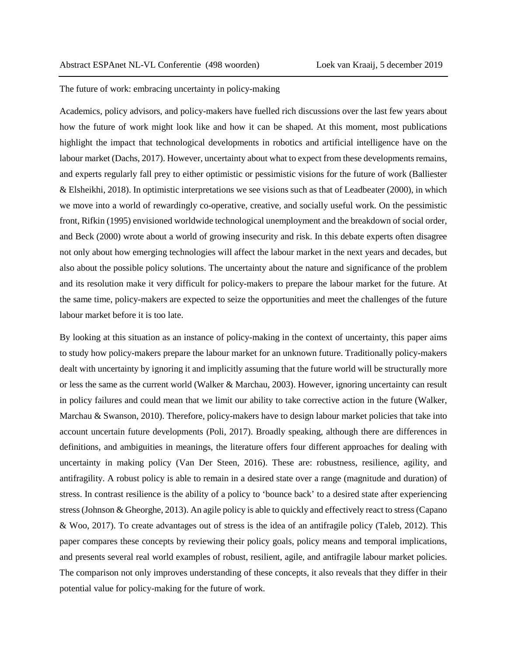The future of work: embracing uncertainty in policy-making

Academics, policy advisors, and policy-makers have fuelled rich discussions over the last few years about how the future of work might look like and how it can be shaped. At this moment, most publications highlight the impact that technological developments in robotics and artificial intelligence have on the labour market (Dachs, 2017). However, uncertainty about what to expect from these developments remains, and experts regularly fall prey to either optimistic or pessimistic visions for the future of work (Balliester & Elsheikhi, 2018). In optimistic interpretations we see visions such as that of Leadbeater (2000), in which we move into a world of rewardingly co-operative, creative, and socially useful work. On the pessimistic front, Rifkin (1995) envisioned worldwide technological unemployment and the breakdown of social order, and Beck (2000) wrote about a world of growing insecurity and risk. In this debate experts often disagree not only about how emerging technologies will affect the labour market in the next years and decades, but also about the possible policy solutions. The uncertainty about the nature and significance of the problem and its resolution make it very difficult for policy-makers to prepare the labour market for the future. At the same time, policy-makers are expected to seize the opportunities and meet the challenges of the future labour market before it is too late.

By looking at this situation as an instance of policy-making in the context of uncertainty, this paper aims to study how policy-makers prepare the labour market for an unknown future. Traditionally policy-makers dealt with uncertainty by ignoring it and implicitly assuming that the future world will be structurally more or less the same as the current world (Walker & Marchau, 2003). However, ignoring uncertainty can result in policy failures and could mean that we limit our ability to take corrective action in the future (Walker, Marchau & Swanson, 2010). Therefore, policy-makers have to design labour market policies that take into account uncertain future developments (Poli, 2017). Broadly speaking, although there are differences in definitions, and ambiguities in meanings, the literature offers four different approaches for dealing with uncertainty in making policy (Van Der Steen, 2016). These are: robustness, resilience, agility, and antifragility. A robust policy is able to remain in a desired state over a range (magnitude and duration) of stress. In contrast resilience is the ability of a policy to 'bounce back' to a desired state after experiencing stress(Johnson & Gheorghe, 2013). An agile policy is able to quickly and effectively react to stress(Capano & Woo, 2017). To create advantages out of stress is the idea of an antifragile policy (Taleb, 2012). This paper compares these concepts by reviewing their policy goals, policy means and temporal implications, and presents several real world examples of robust, resilient, agile, and antifragile labour market policies. The comparison not only improves understanding of these concepts, it also reveals that they differ in their potential value for policy-making for the future of work.